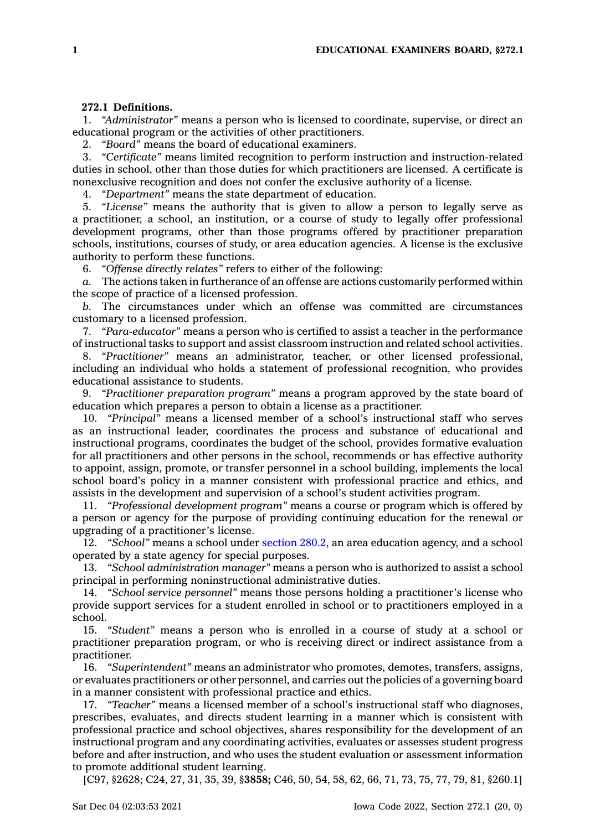## **272.1 Definitions.**

1. *"Administrator"* means <sup>a</sup> person who is licensed to coordinate, supervise, or direct an educational program or the activities of other practitioners.

2. *"Board"* means the board of educational examiners.

3. *"Certificate"* means limited recognition to perform instruction and instruction-related duties in school, other than those duties for which practitioners are licensed. A certificate is nonexclusive recognition and does not confer the exclusive authority of <sup>a</sup> license.

4. *"Department"* means the state department of education.

5. *"License"* means the authority that is given to allow <sup>a</sup> person to legally serve as <sup>a</sup> practitioner, <sup>a</sup> school, an institution, or <sup>a</sup> course of study to legally offer professional development programs, other than those programs offered by practitioner preparation schools, institutions, courses of study, or area education agencies. A license is the exclusive authority to perform these functions.

6. *"Offense directly relates"* refers to either of the following:

*a.* The actions taken in furtherance of an offense are actions customarily performed within the scope of practice of <sup>a</sup> licensed profession.

*b.* The circumstances under which an offense was committed are circumstances customary to <sup>a</sup> licensed profession.

7. *"Para-educator"* means <sup>a</sup> person who is certified to assist <sup>a</sup> teacher in the performance of instructional tasks to support and assist classroom instruction and related school activities.

8. *"Practitioner"* means an administrator, teacher, or other licensed professional, including an individual who holds <sup>a</sup> statement of professional recognition, who provides educational assistance to students.

9. *"Practitioner preparation program"* means <sup>a</sup> program approved by the state board of education which prepares <sup>a</sup> person to obtain <sup>a</sup> license as <sup>a</sup> practitioner.

10. *"Principal"* means <sup>a</sup> licensed member of <sup>a</sup> school's instructional staff who serves as an instructional leader, coordinates the process and substance of educational and instructional programs, coordinates the budget of the school, provides formative evaluation for all practitioners and other persons in the school, recommends or has effective authority to appoint, assign, promote, or transfer personnel in <sup>a</sup> school building, implements the local school board's policy in <sup>a</sup> manner consistent with professional practice and ethics, and assists in the development and supervision of <sup>a</sup> school's student activities program.

11. *"Professional development program"* means <sup>a</sup> course or program which is offered by <sup>a</sup> person or agency for the purpose of providing continuing education for the renewal or upgrading of <sup>a</sup> practitioner's license.

12. *"School"* means <sup>a</sup> school under [section](https://www.legis.iowa.gov/docs/code/280.2.pdf) 280.2, an area education agency, and <sup>a</sup> school operated by <sup>a</sup> state agency for special purposes.

13. *"School administration manager"* means <sup>a</sup> person who is authorized to assist <sup>a</sup> school principal in performing noninstructional administrative duties.

14. *"School service personnel"* means those persons holding <sup>a</sup> practitioner's license who provide support services for <sup>a</sup> student enrolled in school or to practitioners employed in <sup>a</sup> school.

15. *"Student"* means <sup>a</sup> person who is enrolled in <sup>a</sup> course of study at <sup>a</sup> school or practitioner preparation program, or who is receiving direct or indirect assistance from <sup>a</sup> practitioner.

16. *"Superintendent"* means an administrator who promotes, demotes, transfers, assigns, or evaluates practitioners or other personnel, and carries out the policies of <sup>a</sup> governing board in <sup>a</sup> manner consistent with professional practice and ethics.

17. *"Teacher"* means <sup>a</sup> licensed member of <sup>a</sup> school's instructional staff who diagnoses, prescribes, evaluates, and directs student learning in <sup>a</sup> manner which is consistent with professional practice and school objectives, shares responsibility for the development of an instructional program and any coordinating activities, evaluates or assesses student progress before and after instruction, and who uses the student evaluation or assessment information to promote additional student learning.

[C97, §2628; C24, 27, 31, 35, 39, §**3858;** C46, 50, 54, 58, 62, 66, 71, 73, 75, 77, 79, 81, §260.1]